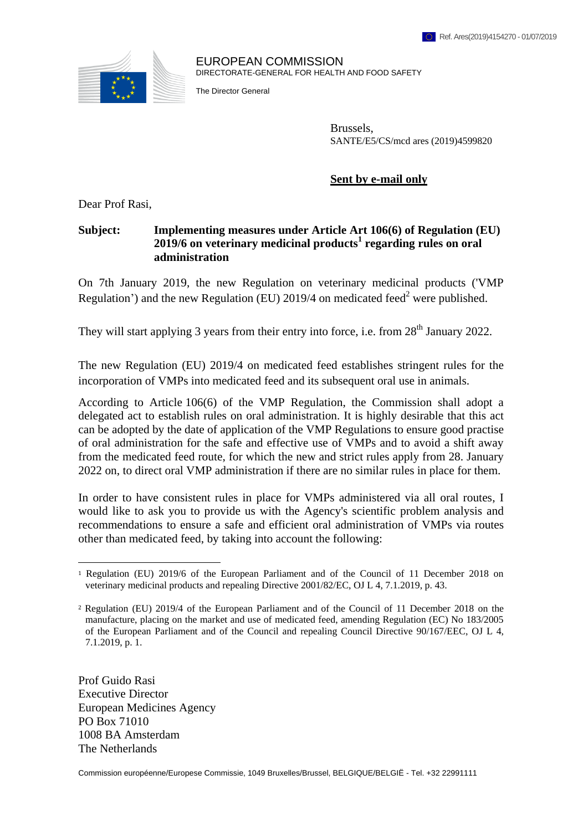

EUROPEAN COMMISSION DIRECTORATE-GENERAL FOR HEALTH AND FOOD SAFETY

The Director General

Brussels, SANTE/E5/CS/mcd ares (2019)4599820

**Sent by e-mail only**

Dear Prof Rasi,

# **Subject: Implementing measures under Article Art 106(6) of Regulation (EU) 2019/6 on veterinary medicinal products<sup>1</sup> regarding rules on oral administration**

On 7th January 2019, the new Regulation on veterinary medicinal products ('VMP Regulation') and the new Regulation (EU) 2019/4 on medicated feed<sup>2</sup> were published.

They will start applying 3 years from their entry into force, i.e. from  $28<sup>th</sup>$  January 2022.

The new Regulation (EU) 2019/4 on medicated feed establishes stringent rules for the incorporation of VMPs into medicated feed and its subsequent oral use in animals.

According to Article 106(6) of the VMP Regulation, the Commission shall adopt a delegated act to establish rules on oral administration. It is highly desirable that this act can be adopted by the date of application of the VMP Regulations to ensure good practise of oral administration for the safe and effective use of VMPs and to avoid a shift away from the medicated feed route, for which the new and strict rules apply from 28. January 2022 on, to direct oral VMP administration if there are no similar rules in place for them.

In order to have consistent rules in place for VMPs administered via all oral routes, I would like to ask you to provide us with the Agency's scientific problem analysis and recommendations to ensure a safe and efficient oral administration of VMPs via routes other than medicated feed, by taking into account the following:

Prof Guido Rasi Executive Director European Medicines Agency PO Box 71010 1008 BA Amsterdam The Netherlands

 $\overline{a}$ 

Commission européenne/Europese Commissie, 1049 Bruxelles/Brussel, BELGIQUE/BELGIË - Tel. +32 22991111

<sup>1</sup> Regulation (EU) 2019/6 of the European Parliament and of the Council of 11 December 2018 on veterinary medicinal products and repealing Directive 2001/82/EC, OJ L 4, 7.1.2019, p. 43.

<sup>2</sup> Regulation (EU) 2019/4 of the European Parliament and of the Council of 11 December 2018 on the manufacture, placing on the market and use of medicated feed, amending Regulation (EC) No 183/2005 of the European Parliament and of the Council and repealing Council Directive 90/167/EEC, OJ L 4, 7.1.2019, p. 1.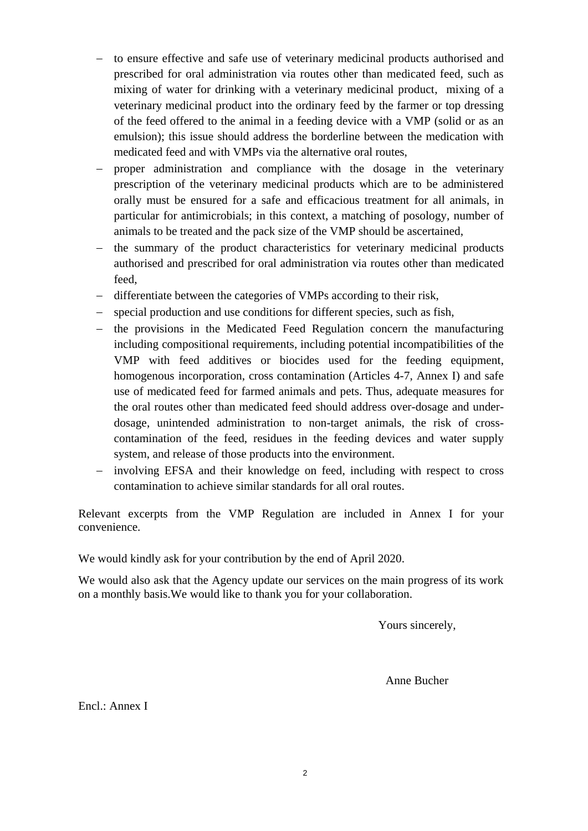- to ensure effective and safe use of veterinary medicinal products authorised and prescribed for oral administration via routes other than medicated feed, such as mixing of water for drinking with a veterinary medicinal product, mixing of a veterinary medicinal product into the ordinary feed by the farmer or top dressing of the feed offered to the animal in a feeding device with a VMP (solid or as an emulsion); this issue should address the borderline between the medication with medicated feed and with VMPs via the alternative oral routes,
- proper administration and compliance with the dosage in the veterinary prescription of the veterinary medicinal products which are to be administered orally must be ensured for a safe and efficacious treatment for all animals, in particular for antimicrobials; in this context, a matching of posology, number of animals to be treated and the pack size of the VMP should be ascertained,
- the summary of the product characteristics for veterinary medicinal products authorised and prescribed for oral administration via routes other than medicated feed,
- differentiate between the categories of VMPs according to their risk,
- special production and use conditions for different species, such as fish,
- the provisions in the Medicated Feed Regulation concern the manufacturing including compositional requirements, including potential incompatibilities of the VMP with feed additives or biocides used for the feeding equipment, homogenous incorporation, cross contamination (Articles 4-7, Annex I) and safe use of medicated feed for farmed animals and pets. Thus, adequate measures for the oral routes other than medicated feed should address over-dosage and underdosage, unintended administration to non-target animals, the risk of crosscontamination of the feed, residues in the feeding devices and water supply system, and release of those products into the environment.
- involving EFSA and their knowledge on feed, including with respect to cross contamination to achieve similar standards for all oral routes.

Relevant excerpts from the VMP Regulation are included in Annex I for your convenience.

We would kindly ask for your contribution by the end of April 2020.

We would also ask that the Agency update our services on the main progress of its work on a monthly basis.We would like to thank you for your collaboration.

Yours sincerely,

Anne Bucher

Encl.: Annex I